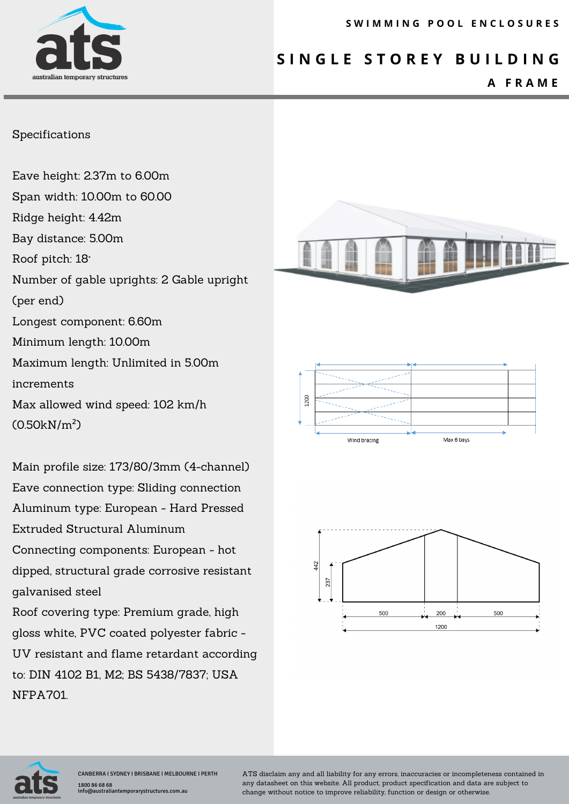# **S I N G L E S T O R E Y B U I L D I N G**

## **A F R A M E**

#### Specifications

Eave height: 2.37m to 6.00m Span width: 10.00m to 60.00 Ridge height: 4.42m Bay distance: 5.00m Roof pitch: 18° Number of gable uprights: 2 Gable upright (per end) Longest component: 6.60m Minimum length: 10.00m Maximum length: Unlimited in 5.00m increments Max allowed wind speed: 102 km/h (0.50kN/m²)

Main profile size: 173/80/3mm (4-channel) Eave connection type: Sliding connection Aluminum type: European - Hard Pressed Extruded Structural Aluminum Connecting components: European - hot dipped, structural grade corrosive resistant galvanised steel Roof covering type: Premium grade, high gloss white, PVC coated polyester fabric -

UV resistant and flame retardant according to: DIN 4102 B1, M2; BS 5438/7837; USA NFPA701.









ATS disclaim any and all liability for any errors, inaccuracies or incompleteness contained in any datasheet on this website. All product, product specification and data are subject to change without notice to improve reliability, function or design or otherwise.